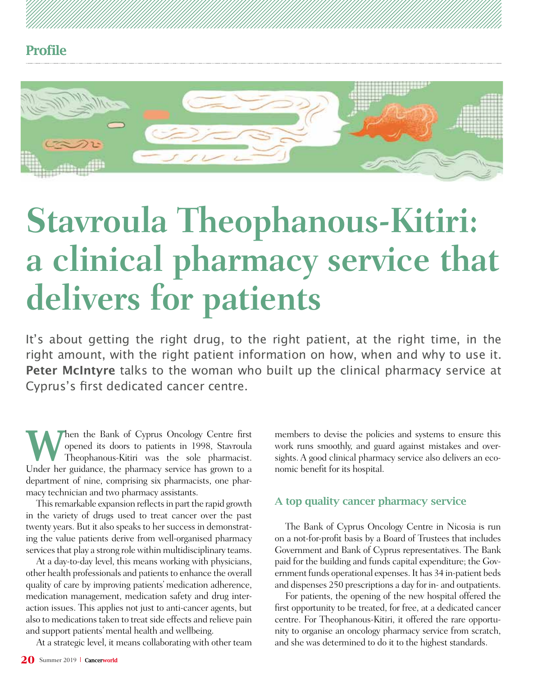



# **Stavroula Theophanous-Kitiri: a clinical pharmacy service that delivers for patients**

It's about getting the right drug, to the right patient, at the right time, in the right amount, with the right patient information on how, when and why to use it. **Peter McIntyre** talks to the woman who built up the clinical pharmacy service at Cyprus's first dedicated cancer centre.

When the Bank of Cyprus Oncology Centre first<br>
Theophanous-Kitiri was the sole pharmacist.<br>
Hudra har widers the pharmace project be proposed to the pharmacist. opened its doors to patients in 1998, Stavroula Under her guidance, the pharmacy service has grown to a department of nine, comprising six pharmacists, one pharmacy technician and two pharmacy assistants.

This remarkable expansion reflects in part the rapid growth in the variety of drugs used to treat cancer over the past twenty years. But it also speaks to her success in demonstrating the value patients derive from well-organised pharmacy services that play a strong role within multidisciplinary teams.

At a day-to-day level, this means working with physicians, other health professionals and patients to enhance the overall quality of care by improving patients' medication adherence, medication management, medication safety and drug interaction issues. This applies not just to anti-cancer agents, but also to medications taken to treat side effects and relieve pain and support patients' mental health and wellbeing.

At a strategic level, it means collaborating with other team

members to devise the policies and systems to ensure this work runs smoothly, and guard against mistakes and oversights. A good clinical pharmacy service also delivers an economic benefit for its hospital.

#### A top quality cancer pharmacy service

The Bank of Cyprus Oncology Centre in Nicosia is run on a not-for-profit basis by a Board of Trustees that includes Government and Bank of Cyprus representatives. The Bank paid for the building and funds capital expenditure; the Government funds operational expenses. It has 34 in-patient beds and dispenses 250 prescriptions a day for in- and outpatients.

For patients, the opening of the new hospital offered the first opportunity to be treated, for free, at a dedicated cancer centre. For Theophanous-Kitiri, it offered the rare opportunity to organise an oncology pharmacy service from scratch, and she was determined to do it to the highest standards.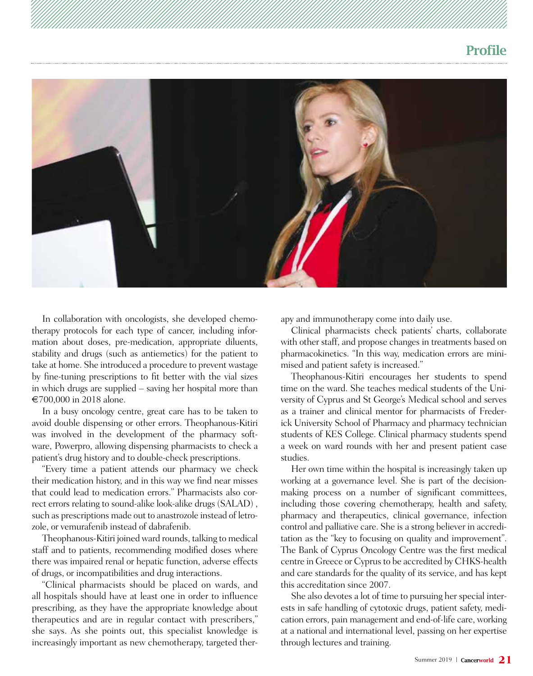## Profile



In collaboration with oncologists, she developed chemotherapy protocols for each type of cancer, including information about doses, pre-medication, appropriate diluents, stability and drugs (such as antiemetics) for the patient to take at home. She introduced a procedure to prevent wastage by fine-tuning prescriptions to fit better with the vial sizes in which drugs are supplied – saving her hospital more than **€**700,000 in 2018 alone.

In a busy oncology centre, great care has to be taken to avoid double dispensing or other errors. Theophanous-Kitiri was involved in the development of the pharmacy software, Powerpro, allowing dispensing pharmacists to check a patient's drug history and to double-check prescriptions.

"Every time a patient attends our pharmacy we check their medication history, and in this way we find near misses that could lead to medication errors." Pharmacists also correct errors relating to sound-alike look-alike drugs (SALAD) , such as prescriptions made out to anastrozole instead of letrozole, or vemurafenib instead of dabrafenib.

Theophanous-Kitiri joined ward rounds, talking to medical staff and to patients, recommending modified doses where there was impaired renal or hepatic function, adverse effects of drugs, or incompatibilities and drug interactions.

"Clinical pharmacists should be placed on wards, and all hospitals should have at least one in order to influence prescribing, as they have the appropriate knowledge about therapeutics and are in regular contact with prescribers," she says. As she points out, this specialist knowledge is increasingly important as new chemotherapy, targeted therapy and immunotherapy come into daily use.

Clinical pharmacists check patients' charts, collaborate with other staff, and propose changes in treatments based on pharmacokinetics. "In this way, medication errors are minimised and patient safety is increased."

Theophanous-Kitiri encourages her students to spend time on the ward. She teaches medical students of the University of Cyprus and St George's Medical school and serves as a trainer and clinical mentor for pharmacists of Frederick University School of Pharmacy and pharmacy technician students of KES College. Clinical pharmacy students spend a week on ward rounds with her and present patient case studies.

Her own time within the hospital is increasingly taken up working at a governance level. She is part of the decisionmaking process on a number of significant committees, including those covering chemotherapy, health and safety, pharmacy and therapeutics, clinical governance, infection control and palliative care. She is a strong believer in accreditation as the "key to focusing on quality and improvement". The Bank of Cyprus Oncology Centre was the first medical centre in Greece or Cyprus to be accredited by CHKS-health and care standards for the quality of its service, and has kept this accreditation since 2007.

She also devotes a lot of time to pursuing her special interests in safe handling of cytotoxic drugs, patient safety, medication errors, pain management and end-of-life care, working at a national and international level, passing on her expertise through lectures and training.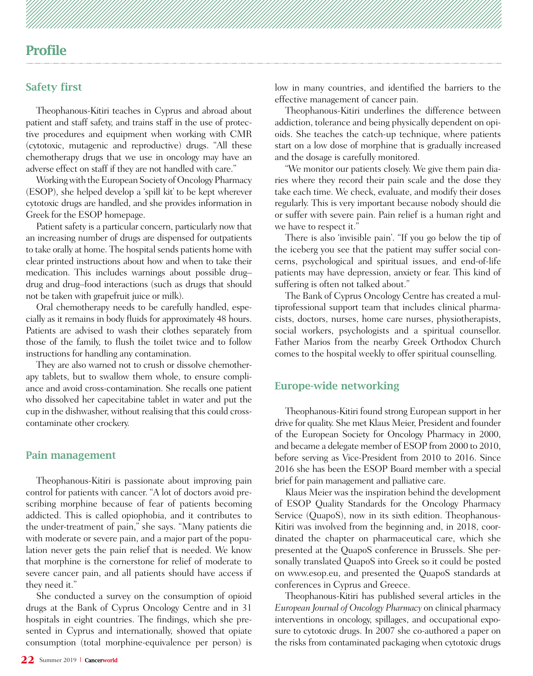### Profile

#### Safety first

Theophanous-Kitiri teaches in Cyprus and abroad about patient and staff safety, and trains staff in the use of protective procedures and equipment when working with CMR (cytotoxic, mutagenic and reproductive) drugs. "All these chemotherapy drugs that we use in oncology may have an adverse effect on staff if they are not handled with care."

Working with the European Society of Oncology Pharmacy (ESOP), she helped develop a 'spill kit' to be kept wherever cytotoxic drugs are handled, and she provides information in Greek for the ESOP homepage.

Patient safety is a particular concern, particularly now that an increasing number of drugs are dispensed for outpatients to take orally at home. The hospital sends patients home with clear printed instructions about how and when to take their medication. This includes warnings about possible drug– drug and drug–food interactions (such as drugs that should not be taken with grapefruit juice or milk).

Oral chemotherapy needs to be carefully handled, especially as it remains in body fluids for approximately 48 hours. Patients are advised to wash their clothes separately from those of the family, to flush the toilet twice and to follow instructions for handling any contamination.

They are also warned not to crush or dissolve chemotherapy tablets, but to swallow them whole, to ensure compliance and avoid cross-contamination. She recalls one patient who dissolved her capecitabine tablet in water and put the cup in the dishwasher, without realising that this could crosscontaminate other crockery.

#### Pain management

Theophanous-Kitiri is passionate about improving pain control for patients with cancer. "A lot of doctors avoid prescribing morphine because of fear of patients becoming addicted. This is called opiophobia, and it contributes to the under-treatment of pain," she says. "Many patients die with moderate or severe pain, and a major part of the population never gets the pain relief that is needed. We know that morphine is the cornerstone for relief of moderate to severe cancer pain, and all patients should have access if they need it."

She conducted a survey on the consumption of opioid drugs at the Bank of Cyprus Oncology Centre and in 31 hospitals in eight countries. The findings, which she presented in Cyprus and internationally, showed that opiate consumption (total morphine-equivalence per person) is

low in many countries, and identified the barriers to the effective management of cancer pain.

Theophanous-Kitiri underlines the difference between addiction, tolerance and being physically dependent on opioids. She teaches the catch-up technique, where patients start on a low dose of morphine that is gradually increased and the dosage is carefully monitored.

"We monitor our patients closely. We give them pain diaries where they record their pain scale and the dose they take each time. We check, evaluate, and modify their doses regularly. This is very important because nobody should die or suffer with severe pain. Pain relief is a human right and we have to respect it."

There is also 'invisible pain'. "If you go below the tip of the iceberg you see that the patient may suffer social concerns, psychological and spiritual issues, and end-of-life patients may have depression, anxiety or fear. This kind of suffering is often not talked about."

The Bank of Cyprus Oncology Centre has created a multiprofessional support team that includes clinical pharmacists, doctors, nurses, home care nurses, physiotherapists, social workers, psychologists and a spiritual counsellor. Father Marios from the nearby Greek Orthodox Church comes to the hospital weekly to offer spiritual counselling.

#### Europe-wide networking

Theophanous-Kitiri found strong European support in her drive for quality. She met Klaus Meier, President and founder of the European Society for Oncology Pharmacy in 2000, and became a delegate member of ESOP from 2000 to 2010, before serving as Vice-President from 2010 to 2016. Since 2016 she has been the ESOP Board member with a special brief for pain management and palliative care.

Klaus Meier was the inspiration behind the development of ESOP Quality Standards for the Oncology Pharmacy Service (QuapoS), now in its sixth edition. Theophanous-Kitiri was involved from the beginning and, in 2018, coordinated the chapter on pharmaceutical care, which she presented at the QuapoS conference in Brussels. She personally translated QuapoS into Greek so it could be posted on www.esop.eu, and presented the QuapoS standards at conferences in Cyprus and Greece.

Theophanous-Kitiri has published several articles in the *European Journal of Oncology Pharmacy* on clinical pharmacy interventions in oncology, spillages, and occupational exposure to cytotoxic drugs. In 2007 she co-authored a paper on the risks from contaminated packaging when cytotoxic drugs